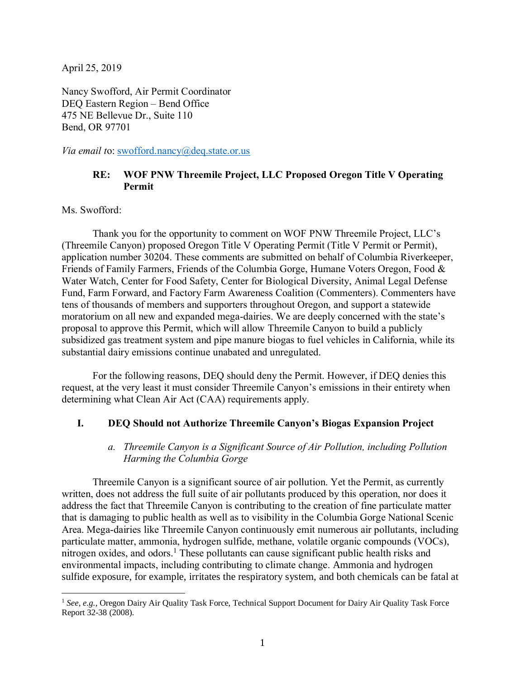April 25, 2019

Nancy Swofford, Air Permit Coordinator DEQ Eastern Region – Bend Office 475 NE Bellevue Dr., Suite 110 Bend, OR 97701

*Via email t*o: [swofford.nancy@deq.state.or.us](mailto:swofford.nancy@deq.state.or.us)

### **RE: WOF PNW Threemile Project, LLC Proposed Oregon Title V Operating Permit**

Ms. Swofford:

 $\overline{a}$ 

Thank you for the opportunity to comment on WOF PNW Threemile Project, LLC's (Threemile Canyon) proposed Oregon Title V Operating Permit (Title V Permit or Permit), application number 30204. These comments are submitted on behalf of Columbia Riverkeeper, Friends of Family Farmers, Friends of the Columbia Gorge, Humane Voters Oregon, Food & Water Watch, Center for Food Safety, Center for Biological Diversity, Animal Legal Defense Fund, Farm Forward, and Factory Farm Awareness Coalition (Commenters). Commenters have tens of thousands of members and supporters throughout Oregon, and support a statewide moratorium on all new and expanded mega-dairies. We are deeply concerned with the state's proposal to approve this Permit, which will allow Threemile Canyon to build a publicly subsidized gas treatment system and pipe manure biogas to fuel vehicles in California, while its substantial dairy emissions continue unabated and unregulated.

For the following reasons, DEQ should deny the Permit. However, if DEQ denies this request, at the very least it must consider Threemile Canyon's emissions in their entirety when determining what Clean Air Act (CAA) requirements apply.

# **I. DEQ Should not Authorize Threemile Canyon's Biogas Expansion Project**

#### *a. Threemile Canyon is a Significant Source of Air Pollution, including Pollution Harming the Columbia Gorge*

Threemile Canyon is a significant source of air pollution. Yet the Permit, as currently written, does not address the full suite of air pollutants produced by this operation, nor does it address the fact that Threemile Canyon is contributing to the creation of fine particulate matter that is damaging to public health as well as to visibility in the Columbia Gorge National Scenic Area. Mega-dairies like Threemile Canyon continuously emit numerous air pollutants, including particulate matter, ammonia, hydrogen sulfide, methane, volatile organic compounds (VOCs), nitrogen oxides, and odors.<sup>1</sup> These pollutants can cause significant public health risks and environmental impacts, including contributing to climate change. Ammonia and hydrogen sulfide exposure, for example, irritates the respiratory system, and both chemicals can be fatal at

<sup>&</sup>lt;sup>1</sup> See, e.g., Oregon Dairy Air Quality Task Force, Technical Support Document for Dairy Air Quality Task Force Report 32-38 (2008).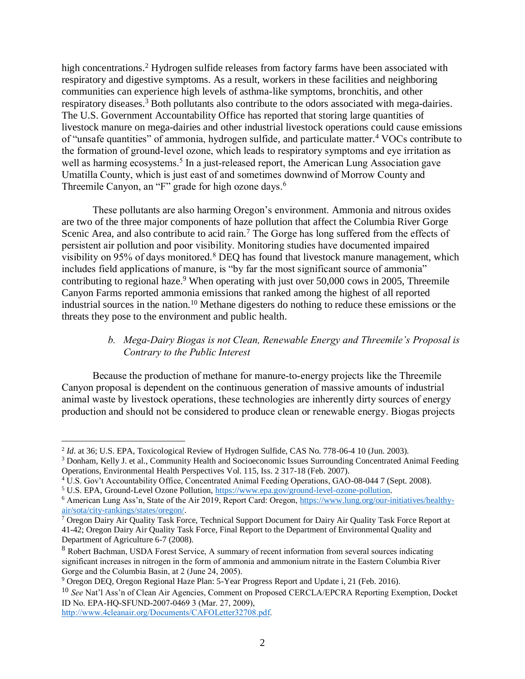high concentrations. <sup>2</sup> Hydrogen sulfide releases from factory farms have been associated with respiratory and digestive symptoms. As a result, workers in these facilities and neighboring communities can experience high levels of asthma-like symptoms, bronchitis, and other respiratory diseases.<sup>3</sup> Both pollutants also contribute to the odors associated with mega-dairies. The U.S. Government Accountability Office has reported that storing large quantities of livestock manure on mega-dairies and other industrial livestock operations could cause emissions of "unsafe quantities" of ammonia, hydrogen sulfide, and particulate matter. <sup>4</sup> VOCs contribute to the formation of ground-level ozone, which leads to respiratory symptoms and eye irritation as well as harming ecosystems.<sup>5</sup> In a just-released report, the American Lung Association gave Umatilla County, which is just east of and sometimes downwind of Morrow County and Threemile Canyon, an "F" grade for high ozone days.<sup>6</sup>

These pollutants are also harming Oregon's environment. Ammonia and nitrous oxides are two of the three major components of haze pollution that affect the Columbia River Gorge Scenic Area, and also contribute to acid rain.<sup>7</sup> The Gorge has long suffered from the effects of persistent air pollution and poor visibility. Monitoring studies have documented impaired visibility on 95% of days monitored.<sup>8</sup> DEO has found that livestock manure management, which includes field applications of manure, is "by far the most significant source of ammonia" contributing to regional haze.<sup>9</sup> When operating with just over 50,000 cows in 2005, Threemile Canyon Farms reported ammonia emissions that ranked among the highest of all reported industrial sources in the nation.<sup>10</sup> Methane digesters do nothing to reduce these emissions or the threats they pose to the environment and public health.

# *b. Mega-Dairy Biogas is not Clean, Renewable Energy and Threemile's Proposal is Contrary to the Public Interest*

Because the production of methane for manure-to-energy projects like the Threemile Canyon proposal is dependent on the continuous generation of massive amounts of industrial animal waste by livestock operations, these technologies are inherently dirty sources of energy production and should not be considered to produce clean or renewable energy. Biogas projects

 $\overline{a}$ 

<sup>&</sup>lt;sup>2</sup> *Id.* at 36; U.S. EPA, Toxicological Review of Hydrogen Sulfide, CAS No. 778-06-4 10 (Jun. 2003).

<sup>3</sup> Donham, Kelly J. et al., Community Health and Socioeconomic Issues Surrounding Concentrated Animal Feeding Operations, Environmental Health Perspectives Vol. 115, Iss. 2 317-18 (Feb. 2007).

<sup>4</sup> U.S. Gov't Accountability Office, Concentrated Animal Feeding Operations, GAO-08-044 7 (Sept. 2008).

<sup>5</sup> U.S. EPA, Ground-Level Ozone Pollution, [https://www.epa.gov/ground-level-ozone-pollution.](https://www.epa.gov/ground-level-ozone-pollution)

<sup>6</sup> American Lung Ass'n, State of the Air 2019, Report Card: Oregon, [https://www.lung.org/our-initiatives/healthy](https://www.lung.org/our-initiatives/healthy-air/sota/city-rankings/states/oregon/)[air/sota/city-rankings/states/oregon/.](https://www.lung.org/our-initiatives/healthy-air/sota/city-rankings/states/oregon/) 

<sup>7</sup> Oregon Dairy Air Quality Task Force, Technical Support Document for Dairy Air Quality Task Force Report at 41-42; Oregon Dairy Air Quality Task Force, Final Report to the Department of Environmental Quality and Department of Agriculture 6-7 (2008).

<sup>8</sup> Robert Bachman, USDA Forest Service, A summary of recent information from several sources indicating significant increases in nitrogen in the form of ammonia and ammonium nitrate in the Eastern Columbia River Gorge and the Columbia Basin, at 2 (June 24, 2005).

<sup>9</sup> Oregon DEQ, Oregon Regional Haze Plan: 5-Year Progress Report and Update i, 21 (Feb. 2016).

<sup>10</sup> *See* Nat'l Ass'n of Clean Air Agencies, Comment on Proposed CERCLA/EPCRA Reporting Exemption, Docket ID No. EPA-HQ-SFUND-2007-0469 3 (Mar. 27, 2009),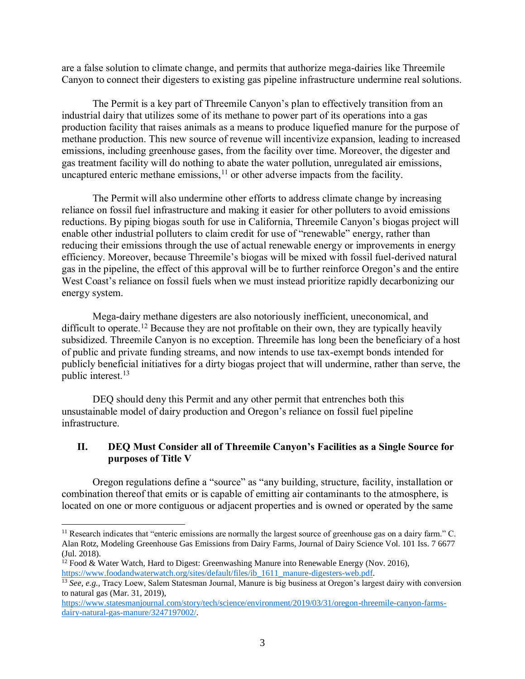are a false solution to climate change, and permits that authorize mega-dairies like Threemile Canyon to connect their digesters to existing gas pipeline infrastructure undermine real solutions.

The Permit is a key part of Threemile Canyon's plan to effectively transition from an industrial dairy that utilizes some of its methane to power part of its operations into a gas production facility that raises animals as a means to produce liquefied manure for the purpose of methane production. This new source of revenue will incentivize expansion, leading to increased emissions, including greenhouse gases, from the facility over time. Moreover, the digester and gas treatment facility will do nothing to abate the water pollution, unregulated air emissions, uncaptured enteric methane emissions,<sup>11</sup> or other adverse impacts from the facility.

The Permit will also undermine other efforts to address climate change by increasing reliance on fossil fuel infrastructure and making it easier for other polluters to avoid emissions reductions. By piping biogas south for use in California, Threemile Canyon's biogas project will enable other industrial polluters to claim credit for use of "renewable" energy, rather than reducing their emissions through the use of actual renewable energy or improvements in energy efficiency. Moreover, because Threemile's biogas will be mixed with fossil fuel-derived natural gas in the pipeline, the effect of this approval will be to further reinforce Oregon's and the entire West Coast's reliance on fossil fuels when we must instead prioritize rapidly decarbonizing our energy system.

Mega-dairy methane digesters are also notoriously inefficient, uneconomical, and difficult to operate.<sup>12</sup> Because they are not profitable on their own, they are typically heavily subsidized. Threemile Canyon is no exception. Threemile has long been the beneficiary of a host of public and private funding streams, and now intends to use tax-exempt bonds intended for publicly beneficial initiatives for a dirty biogas project that will undermine, rather than serve, the public interest. 13

DEQ should deny this Permit and any other permit that entrenches both this unsustainable model of dairy production and Oregon's reliance on fossil fuel pipeline infrastructure.

#### **II. DEQ Must Consider all of Threemile Canyon's Facilities as a Single Source for purposes of Title V**

Oregon regulations define a "source" as "any building, structure, facility, installation or combination thereof that emits or is capable of emitting air contaminants to the atmosphere, is located on one or more contiguous or adjacent properties and is owned or operated by the same

 $\overline{a}$ 

<sup>&</sup>lt;sup>11</sup> Research indicates that "enteric emissions are normally the largest source of greenhouse gas on a dairy farm." C. Alan Rotz, Modeling Greenhouse Gas Emissions from Dairy Farms, Journal of Dairy Science Vol. 101 Iss. 7 6677 (Jul. 2018).

 $12$  Food & Water Watch, Hard to Digest: Greenwashing Manure into Renewable Energy (Nov. 2016), [https://www.foodandwaterwatch.org/sites/default/files/ib\\_1611\\_manure-digesters-web.pdf.](https://www.foodandwaterwatch.org/sites/default/files/ib_1611_manure-digesters-web.pdf)

<sup>&</sup>lt;sup>13</sup> See, e.g., Tracy Loew, Salem Statesman Journal, Manure is big business at Oregon's largest dairy with conversion to natural gas (Mar. 31, 2019),

[https://www.statesmanjournal.com/story/tech/science/environment/2019/03/31/oregon-threemile-canyon-farms](https://www.statesmanjournal.com/story/tech/science/environment/2019/03/31/oregon-threemile-canyon-farms-dairy-natural-gas-manure/3247197002/)[dairy-natural-gas-manure/3247197002/.](https://www.statesmanjournal.com/story/tech/science/environment/2019/03/31/oregon-threemile-canyon-farms-dairy-natural-gas-manure/3247197002/)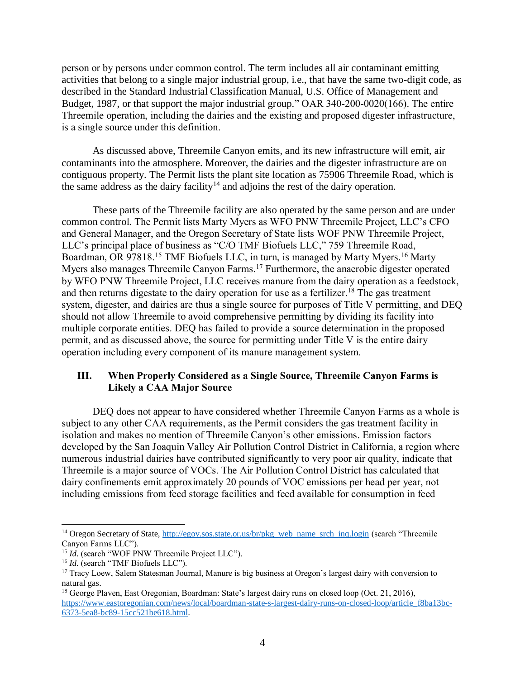person or by persons under common control. The term includes all air contaminant emitting activities that belong to a single major industrial group, i.e., that have the same two-digit code, as described in the Standard Industrial Classification Manual, U.S. Office of Management and Budget, 1987, or that support the major industrial group." OAR 340-200-0020(166). The entire Threemile operation, including the dairies and the existing and proposed digester infrastructure, is a single source under this definition.

As discussed above, Threemile Canyon emits, and its new infrastructure will emit, air contaminants into the atmosphere. Moreover, the dairies and the digester infrastructure are on contiguous property. The Permit lists the plant site location as 75906 Threemile Road, which is the same address as the dairy facility<sup>14</sup> and adjoins the rest of the dairy operation.

These parts of the Threemile facility are also operated by the same person and are under common control. The Permit lists Marty Myers as WFO PNW Threemile Project, LLC's CFO and General Manager, and the Oregon Secretary of State lists WOF PNW Threemile Project, LLC's principal place of business as "C/O TMF Biofuels LLC," 759 Threemile Road, Boardman, OR 97818.<sup>15</sup> TMF Biofuels LLC, in turn, is managed by Marty Myers.<sup>16</sup> Marty Myers also manages Threemile Canyon Farms.<sup>17</sup> Furthermore, the anaerobic digester operated by WFO PNW Threemile Project, LLC receives manure from the dairy operation as a feedstock, and then returns digestate to the dairy operation for use as a fertilizer.<sup>18</sup> The gas treatment system, digester, and dairies are thus a single source for purposes of Title V permitting, and DEQ should not allow Threemile to avoid comprehensive permitting by dividing its facility into multiple corporate entities. DEQ has failed to provide a source determination in the proposed permit, and as discussed above, the source for permitting under Title V is the entire dairy operation including every component of its manure management system.

# **III. When Properly Considered as a Single Source, Threemile Canyon Farms is Likely a CAA Major Source**

DEQ does not appear to have considered whether Threemile Canyon Farms as a whole is subject to any other CAA requirements, as the Permit considers the gas treatment facility in isolation and makes no mention of Threemile Canyon's other emissions. Emission factors developed by the San Joaquin Valley Air Pollution Control District in California, a region where numerous industrial dairies have contributed significantly to very poor air quality, indicate that Threemile is a major source of VOCs. The Air Pollution Control District has calculated that dairy confinements emit approximately 20 pounds of VOC emissions per head per year, not including emissions from feed storage facilities and feed available for consumption in feed

 $\overline{a}$ 

<sup>&</sup>lt;sup>14</sup> Oregon Secretary of State, [http://egov.sos.state.or.us/br/pkg\\_web\\_name\\_srch\\_inq.login](http://egov.sos.state.or.us/br/pkg_web_name_srch_inq.login) (search "Threemile Canyon Farms LLC").

<sup>&</sup>lt;sup>15</sup> *Id.* (search "WOF PNW Threemile Project LLC").

<sup>16</sup> *Id.* (search "TMF Biofuels LLC").

<sup>&</sup>lt;sup>17</sup> Tracy Loew, Salem Statesman Journal, Manure is big business at Oregon's largest dairy with conversion to natural gas.

<sup>18</sup> George Plaven, East Oregonian, Boardman: State's largest dairy runs on closed loop (Oct. 21, 2016), [https://www.eastoregonian.com/news/local/boardman-state-s-largest-dairy-runs-on-closed-loop/article\\_f8ba13bc-](https://www.eastoregonian.com/news/local/boardman-state-s-largest-dairy-runs-on-closed-loop/article_f8ba13bc-6373-5ea8-bc89-15cc521be618.html)[6373-5ea8-bc89-15cc521be618.html.](https://www.eastoregonian.com/news/local/boardman-state-s-largest-dairy-runs-on-closed-loop/article_f8ba13bc-6373-5ea8-bc89-15cc521be618.html)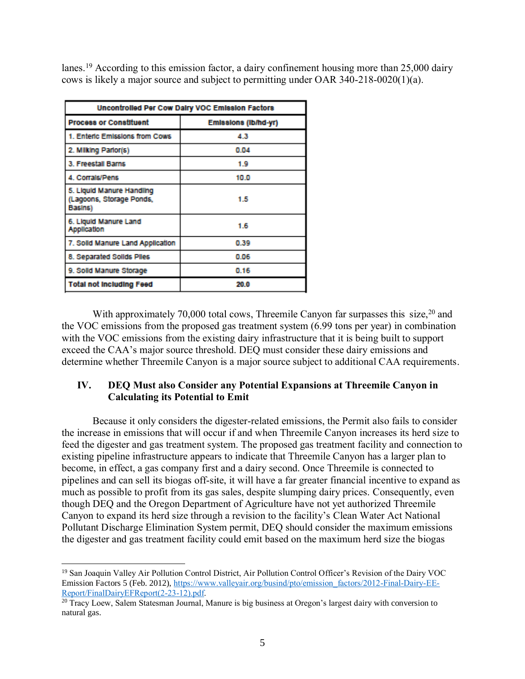lanes.<sup>19</sup> According to this emission factor, a dairy confinement housing more than 25,000 dairy cows is likely a major source and subject to permitting under OAR 340-218-0020(1)(a).

| Uncontrolled Per Cow Dairy VOC Emission Factors                  |                      |
|------------------------------------------------------------------|----------------------|
| <b>Process or Constituent</b>                                    | Emissions (lb/hd-yr) |
| 1. Enteric Emissions from Cows                                   | 4.3                  |
| 2. Milking Parlor(s)                                             | 0.04                 |
| 3. Freestall Barns                                               | 1.9                  |
| 4. Corrals/Pens                                                  | 10.0                 |
| 5. Liquid Manure Handling<br>(Lagoons, Storage Ponds,<br>Basins) | 1.5                  |
| 6. Liquid Manure Land<br><b>Application</b>                      | 1.6                  |
| 7. Solid Manure Land Application                                 | 0.39                 |
| 8. Separated Solids Piles                                        | 0.06                 |
| 9. Solid Manure Storage                                          | 0.16                 |
| <b>Total not including Feed</b>                                  | 20.0                 |

With approximately 70,000 total cows, Threemile Canyon far surpasses this size,  $20$  and the VOC emissions from the proposed gas treatment system (6.99 tons per year) in combination with the VOC emissions from the existing dairy infrastructure that it is being built to support exceed the CAA's major source threshold. DEQ must consider these dairy emissions and determine whether Threemile Canyon is a major source subject to additional CAA requirements.

# **IV. DEQ Must also Consider any Potential Expansions at Threemile Canyon in Calculating its Potential to Emit**

Because it only considers the digester-related emissions, the Permit also fails to consider the increase in emissions that will occur if and when Threemile Canyon increases its herd size to feed the digester and gas treatment system. The proposed gas treatment facility and connection to existing pipeline infrastructure appears to indicate that Threemile Canyon has a larger plan to become, in effect, a gas company first and a dairy second. Once Threemile is connected to pipelines and can sell its biogas off-site, it will have a far greater financial incentive to expand as much as possible to profit from its gas sales, despite slumping dairy prices. Consequently, even though DEQ and the Oregon Department of Agriculture have not yet authorized Threemile Canyon to expand its herd size through a revision to the facility's Clean Water Act National Pollutant Discharge Elimination System permit, DEQ should consider the maximum emissions the digester and gas treatment facility could emit based on the maximum herd size the biogas

 $\overline{a}$ <sup>19</sup> San Joaquin Valley Air Pollution Control District, Air Pollution Control Officer's Revision of the Dairy VOC Emission Factors 5 (Feb. 2012), [https://www.valleyair.org/busind/pto/emission\\_factors/2012-Final-Dairy-EE-](https://www.valleyair.org/busind/pto/emission_factors/2012-Final-Dairy-EE-Report/FinalDairyEFReport(2-23-12).pdf)[Report/FinalDairyEFReport\(2-23-12\).pdf.](https://www.valleyair.org/busind/pto/emission_factors/2012-Final-Dairy-EE-Report/FinalDairyEFReport(2-23-12).pdf) 

<sup>&</sup>lt;sup>20</sup> Tracy Loew, Salem Statesman Journal, Manure is big business at Oregon's largest dairy with conversion to natural gas.